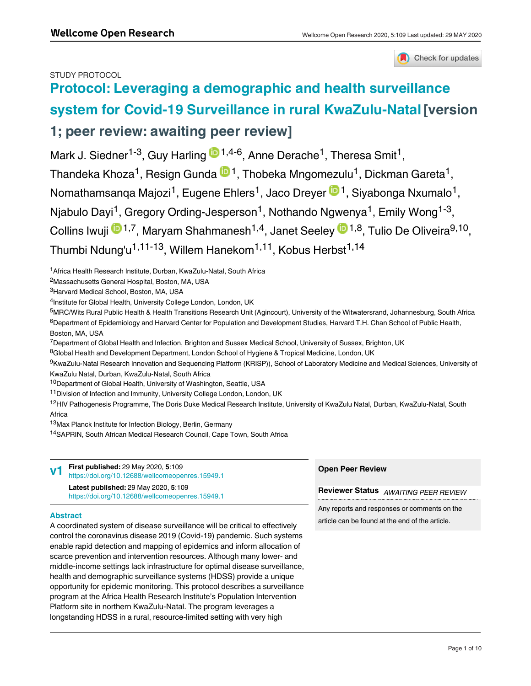# STUDY PROTOCOL



# **[Protocol: Leveraging a demographic and health surveillance](https://wellcomeopenresearch.org/articles/5-109/v1) [system for Covid-19 Surveillance in rural KwaZulu-Natal](https://wellcomeopenresearch.org/articles/5-109/v1) [version**

# **1; peer review: awaiting peer review]**

Mark J. Siedner<sup>1-3</sup>, Guy Harling <sup>1,4-6</sup>, Anne Derache<sup>1</sup>, Theresa Smit<sup>1</sup>, Thandeka Khoza $^1$ , Resign Gunda  $^{\text{\textregistered 1}}$ , Thobeka Mngomezulu $^1$ , Dickman Gareta $^1$ , Nomathamsanqa Majozi<sup>1</sup>, Eugene Ehlers<sup>1</sup>, Jaco Dreyer ® <sup>1</sup>, Siyabonga Nxumalo<sup>1</sup>, Njabulo Dayi<sup>1</sup>, Gregory Ording-Jesperson<sup>1</sup>, Nothando Ngwenya<sup>1</sup>, Emily Wong<sup>1-3</sup>, Collins Iwuji <sup>1,7</sup>, Maryam Shahmanesh<sup>1,4</sup>, Janet Seeley <sup>in 1,8</sup>, Tulio De Oliveira<sup>9,10</sup>, Thumbi Ndung'u<sup>1,11-13</sup>, Willem Hanekom<sup>1,11</sup>, Kobus Herbst<sup>1,14</sup>

<sup>1</sup> Africa Health Research Institute, Durban, KwaZulu-Natal, South Africa

<sup>2</sup>Massachusetts General Hospital, Boston, MA, USA

<sup>3</sup>Harvard Medical School, Boston, MA, USA

<sup>4</sup>Institute for Global Health, University College London, London, UK

5MRC/Wits Rural Public Health & Health Transitions Research Unit (Agincourt), University of the Witwatersrand, Johannesburg, South Africa <sup>6</sup>Department of Epidemiology and Harvard Center for Population and Development Studies, Harvard T.H. Chan School of Public Health, Boston, MA, USA

 $^{7}$ Department of Global Health and Infection, Brighton and Sussex Medical School, University of Sussex, Brighton, UK

 $^8$ Global Health and Development Department, London School of Hygiene & Tropical Medicine, London, UK

<sup>9</sup>KwaZulu-Natal Research Innovation and Sequencing Platform (KRISP)), School of Laboratory Medicine and Medical Sciences, University of KwaZulu Natal, Durban, KwaZulu-Natal, South Africa

<sup>10</sup>Department of Global Health, University of Washington, Seattle, USA

<sup>11</sup> Division of Infection and Immunity, University College London, London, UK

<sup>12</sup>HIV Pathogenesis Programme, The Doris Duke Medical Research Institute, University of KwaZulu Natal, Durban, KwaZulu-Natal, South Africa

<sup>13</sup> Max Planck Institute for Infection Biology, Berlin, Germany

<sup>14</sup>SAPRIN, South African Medical Research Council, Cape Town, South Africa

|                 | First published: 29 May 2020, 5:109<br>https://doi.org/10.12688/wellcomeopenres.15949.1         | <b>Open Peer Review</b>                      |  |
|-----------------|-------------------------------------------------------------------------------------------------|----------------------------------------------|--|
|                 | <b>Latest published: 29 May 2020, 5:109</b><br>https://doi.org/10.12688/wellcomeopenres.15949.1 | <b>Reviewer Status</b> AWAITING PEER REVIEW  |  |
| <b>Abstract</b> |                                                                                                 | Any reports and responses or comments on the |  |

article can be found at the end of the article.

A coordinated system of disease surveillance will be critical to effectively control the coronavirus disease 2019 (Covid-19) pandemic. Such systems enable rapid detection and mapping of epidemics and inform allocation of scarce prevention and intervention resources. Although many lower- and middle-income settings lack infrastructure for optimal disease surveillance, health and demographic surveillance systems (HDSS) provide a unique opportunity for epidemic monitoring. This protocol describes a surveillance program at the Africa Health Research Institute's Population Intervention Platform site in northern KwaZulu-Natal. The program leverages a longstanding HDSS in a rural, resource-limited setting with very high

prevalence of HIV and tuberculosis to perform Covid-19 surveillance. Our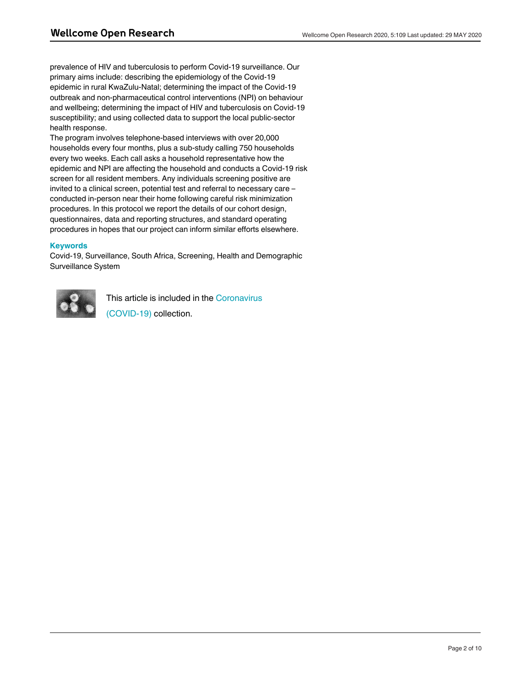prevalence of HIV and tuberculosis to perform Covid-19 surveillance. Our primary aims include: describing the epidemiology of the Covid-19 epidemic in rural KwaZulu-Natal; determining the impact of the Covid-19 outbreak and non-pharmaceutical control interventions (NPI) on behaviour and wellbeing; determining the impact of HIV and tuberculosis on Covid-19 susceptibility; and using collected data to support the local public-sector health response.

The program involves telephone-based interviews with over 20,000 households every four months, plus a sub-study calling 750 households every two weeks. Each call asks a household representative how the epidemic and NPI are affecting the household and conducts a Covid-19 risk screen for all resident members. Any individuals screening positive are invited to a clinical screen, potential test and referral to necessary care – conducted in-person near their home following careful risk minimization procedures. In this protocol we report the details of our cohort design, questionnaires, data and reporting structures, and standard operating procedures in hopes that our project can inform similar efforts elsewhere.

# **Keywords**

Covid-19, Surveillance, South Africa, Screening, Health and Demographic Surveillance System



This article is included in the [Coronavirus](https://wellcomeopenresearch.org/collections/covid19) [\(COVID-19\)](https://wellcomeopenresearch.org/collections/covid19) collection.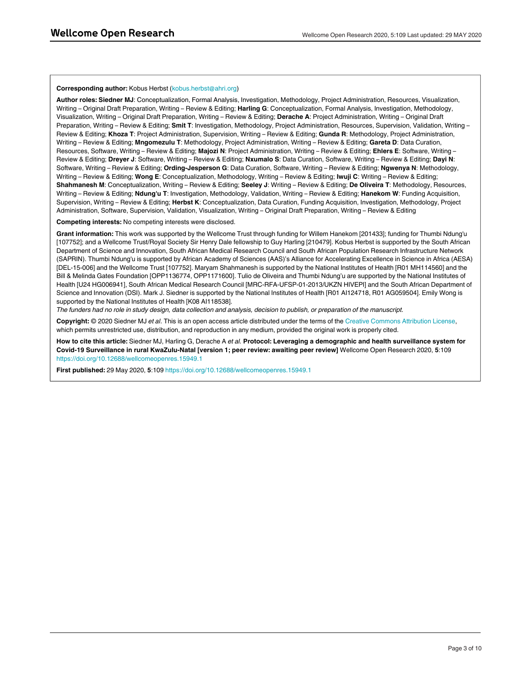#### **Corresponding author:** Kobus Herbst (kobus.herbst@ahri.org)

**Author roles: Siedner MJ**: Conceptualization, Formal Analysis, Investigation, Methodology, Project Administration, Resources, Visualization, Writing – Original Draft Preparation, Writing – Review & Editing; **Harling G**: Conceptualization, Formal Analysis, Investigation, Methodology, Visualization, Writing – Original Draft Preparation, Writing – Review & Editing; **Derache A**: Project Administration, Writing – Original Draft Preparation, Writing – Review & Editing; **Smit T**: Investigation, Methodology, Project Administration, Resources, Supervision, Validation, Writing – Review & Editing; **Khoza T**: Project Administration, Supervision, Writing – Review & Editing; **Gunda R**: Methodology, Project Administration, Writing – Review & Editing; **Mngomezulu T**: Methodology, Project Administration, Writing – Review & Editing; **Gareta D**: Data Curation, Resources, Software, Writing – Review & Editing; **Majozi N**: Project Administration, Writing – Review & Editing; **Ehlers E**: Software, Writing – Review & Editing; **Dreyer J**: Software, Writing – Review & Editing; **Nxumalo S**: Data Curation, Software, Writing – Review & Editing; **Dayi N**: Software, Writing – Review & Editing; **Ording-Jesperson G**: Data Curation, Software, Writing – Review & Editing; **Ngwenya N**: Methodology, Writing – Review & Editing; **Wong E**: Conceptualization, Methodology, Writing – Review & Editing; **Iwuji C**: Writing – Review & Editing; **Shahmanesh M**: Conceptualization, Writing – Review & Editing; **Seeley J**: Writing – Review & Editing; **De Oliveira T**: Methodology, Resources, Writing – Review & Editing; **Ndung'u T**: Investigation, Methodology, Validation, Writing – Review & Editing; **Hanekom W**: Funding Acquisition, Supervision, Writing – Review & Editing; **Herbst K**: Conceptualization, Data Curation, Funding Acquisition, Investigation, Methodology, Project Administration, Software, Supervision, Validation, Visualization, Writing – Original Draft Preparation, Writing – Review & Editing

**Competing interests:** No competing interests were disclosed.

**Grant information:** This work was supported by the Wellcome Trust through funding for Willem Hanekom [201433]; funding for Thumbi Ndung'u [107752]; and a Wellcome Trust/Royal Society Sir Henry Dale fellowship to Guy Harling [210479]. Kobus Herbst is supported by the South African Department of Science and Innovation, South African Medical Research Council and South African Population Research Infrastructure Network (SAPRIN). Thumbi Ndung'u is supported by African Academy of Sciences (AAS)'s Alliance for Accelerating Excellence in Science in Africa (AESA) [DEL-15-006] and the Wellcome Trust [107752]. Maryam Shahmanesh is supported by the National Institutes of Health [R01 MH114560] and the Bill & Melinda Gates Foundation [OPP1136774, OPP1171600]. Tulio de Oliveira and Thumbi Ndung'u are supported by the National Institutes of Health [U24 HG006941], South African Medical Research Council [MRC-RFA-UFSP-01-2013/UKZN HIVEPI] and the South African Department of Science and Innovation (DSI). Mark J. Siedner is supported by the National Institutes of Health [R01 AI124718, R01 AG059504]. Emily Wong is supported by the National Institutes of Health [K08 AI118538].

*The funders had no role in study design, data collection and analysis, decision to publish, or preparation of the manuscript.*

**Copyright:** © 2020 Siedner MJ *et al*. This is an open access article distributed under the terms of the [Creative Commons Attribution License](http://creativecommons.org/licenses/by/4.0/), which permits unrestricted use, distribution, and reproduction in any medium, provided the original work is properly cited.

**How to cite this article:** Siedner MJ, Harling G, Derache A *et al.* **Protocol: Leveraging a demographic and health surveillance system for Covid-19 Surveillance in rural KwaZulu-Natal [version 1; peer review: awaiting peer review]** Wellcome Open Research 2020, **5**:109 <https://doi.org/10.12688/wellcomeopenres.15949.1>

**First published:** 29 May 2020, **5**:109 <https://doi.org/10.12688/wellcomeopenres.15949.1>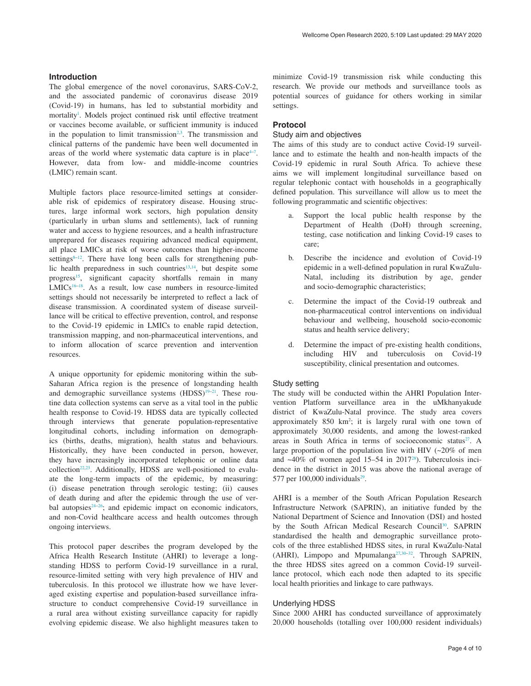### **Introduction**

The global emergence of the novel coronavirus, SARS-CoV-2, and the associated pandemic of coronavirus disease 2019 (Covid-19) in humans, has led to substantial morbidity and mortality<sup>1</sup>. Models project continued risk until effective treatment or vaccines become available, or sufficient immunity is induced in the population to limit transmission<sup>[2,3](#page-8-0)</sup>. The transmission and clinical patterns of the pandemic have been well documented in areas of the world where systematic data capture is in place $4-7$ . However, data from low- and middle-income countries (LMIC) remain scant.

Multiple factors place resource-limited settings at considerable risk of epidemics of respiratory disease. Housing structures, large informal work sectors, high population density (particularly in urban slums and settlements), lack of running water and access to hygiene resources, and a health infrastructure unprepared for diseases requiring advanced medical equipment, all place LMICs at risk of worse outcomes than higher-income settings $8-12$ . There have long been calls for strengthening public health preparedness in such countries<sup>13,14</sup>, but despite some progress<sup>15</sup>, significant capacity shortfalls remain in many LMICs<sup>16-18</sup>. As a result, low case numbers in resource-limited settings should not necessarily be interpreted to reflect a lack of disease transmission. A coordinated system of disease surveillance will be critical to effective prevention, control, and response to the Covid-19 epidemic in LMICs to enable rapid detection, transmission mapping, and non-pharmaceutical interventions, and to inform allocation of scarce prevention and intervention resources.

A unique opportunity for epidemic monitoring within the sub-Saharan Africa region is the presence of longstanding health and demographic surveillance systems  $(HDSS)^{19-21}$ . These routine data collection systems can serve as a vital tool in the public health response to Covid-19. HDSS data are typically collected through interviews that generate population-representative longitudinal cohorts, including information on demographics (births, deaths, migration), health status and behaviours. Historically, they have been conducted in person, however, they have increasingly incorporated telephonic or online data collection<sup>22,23</sup>. Additionally, HDSS are well-positioned to evaluate the long-term impacts of the epidemic, by measuring: (i) disease penetration through serologic testing; (ii) causes of death during and after the epidemic through the use of verbal autopsies $24-26$ ; and epidemic impact on economic indicators, and non-Covid healthcare access and health outcomes through ongoing interviews.

This protocol paper describes the program developed by the Africa Health Research Institute (AHRI) to leverage a longstanding HDSS to perform Covid-19 surveillance in a rural, resource-limited setting with very high prevalence of HIV and tuberculosis. In this protocol we illustrate how we have leveraged existing expertise and population-based surveillance infrastructure to conduct comprehensive Covid-19 surveillance in a rural area without existing surveillance capacity for rapidly evolving epidemic disease. We also highlight measures taken to minimize Covid-19 transmission risk while conducting this research. We provide our methods and surveillance tools as potential sources of guidance for others working in similar settings.

#### **Protocol**

#### Study aim and objectives

The aims of this study are to conduct active Covid-19 surveillance and to estimate the health and non-health impacts of the Covid-19 epidemic in rural South Africa. To achieve these aims we will implement longitudinal surveillance based on regular telephonic contact with households in a geographically defined population. This surveillance will allow us to meet the following programmatic and scientific objectives:

- a. Support the local public health response by the Department of Health (DoH) through screening, testing, case notification and linking Covid-19 cases to care;
- b. Describe the incidence and evolution of Covid-19 epidemic in a well-defined population in rural KwaZulu-Natal, including its distribution by age, gender and socio-demographic characteristics;
- c. Determine the impact of the Covid-19 outbreak and non-pharmaceutical control interventions on individual behaviour and wellbeing, household socio-economic status and health service delivery;
- d. Determine the impact of pre-existing health conditions, including HIV and tuberculosis on Covid-19 susceptibility, clinical presentation and outcomes.

#### Study setting

The study will be conducted within the AHRI Population Intervention Platform surveillance area in the uMkhanyakude district of KwaZulu-Natal province. The study area covers approximately 850 km<sup>2</sup>; it is largely rural with one town of approximately 30,000 residents, and among the lowest-ranked areas in South Africa in terms of socioeconomic status $27$ . A large proportion of the population live with HIV  $(\sim 20\%$  of men and  $~40\%$  of women aged 15–54 in 2017<sup>[28](#page-9-0)</sup>). Tuberculosis incidence in the district in 2015 was above the national average of 577 per  $100,000$  individuals<sup>29</sup>.

AHRI is a member of the South African Population Research Infrastructure Network (SAPRIN), an initiative funded by the National Department of Science and Innovation (DSI) and hosted by the South African Medical Research Council<sup>30</sup>. SAPRIN standardised the health and demographic surveillance protocols of the three established HDSS sites, in rural KwaZulu-Natal (AHRI), Limpopo and Mpumalanga<sup>27,30-[32](#page-9-0)</sup>. Through SAPRIN, the three HDSS sites agreed on a common Covid-19 surveillance protocol, which each node then adapted to its specific local health priorities and linkage to care pathways.

#### Underlying HDSS

Since 2000 AHRI has conducted surveillance of approximately 20,000 households (totalling over 100,000 resident individuals)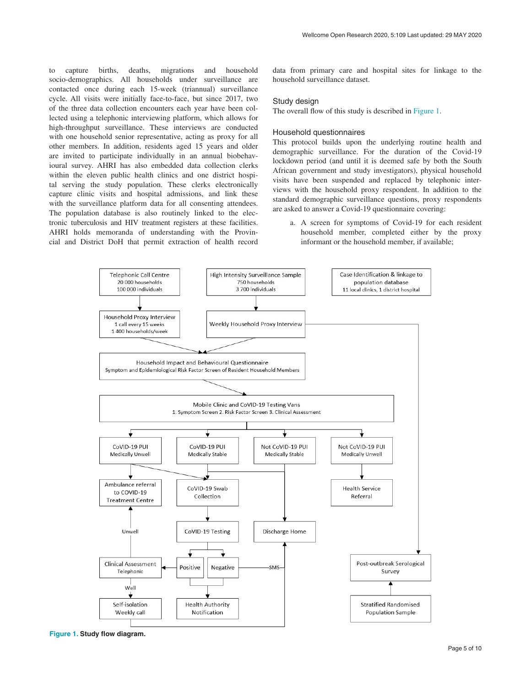to capture births, deaths, migrations and household socio-demographics. All households under surveillance are contacted once during each 15-week (triannual) surveillance cycle. All visits were initially face-to-face, but since 2017, two of the three data collection encounters each year have been collected using a telephonic interviewing platform, which allows for high-throughput surveillance. These interviews are conducted with one household senior representative, acting as proxy for all other members. In addition, residents aged 15 years and older are invited to participate individually in an annual biobehavioural survey. AHRI has also embedded data collection clerks within the eleven public health clinics and one district hospital serving the study population. These clerks electronically capture clinic visits and hospital admissions, and link these with the surveillance platform data for all consenting attendees. The population database is also routinely linked to the electronic tuberculosis and HIV treatment registers at these facilities. AHRI holds memoranda of understanding with the Provincial and District DoH that permit extraction of health record

data from primary care and hospital sites for linkage to the household surveillance dataset.

#### Study design

The overall flow of this study is described in Figure 1.

#### Household questionnaires

This protocol builds upon the underlying routine health and demographic surveillance. For the duration of the Covid-19 lockdown period (and until it is deemed safe by both the South African government and study investigators), physical household visits have been suspended and replaced by telephonic interviews with the household proxy respondent. In addition to the standard demographic surveillance questions, proxy respondents are asked to answer a Covid-19 questionnaire covering:

a. A screen for symptoms of Covid-19 for each resident household member, completed either by the proxy informant or the household member, if available;



**Figure 1. Study flow diagram.**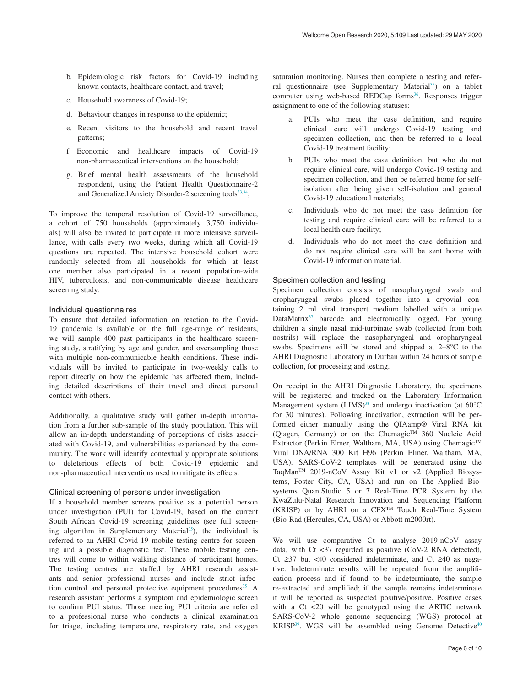- b. Epidemiologic risk factors for Covid-19 including known contacts, healthcare contact, and travel;
- c. Household awareness of Covid-19;
- d. Behaviour changes in response to the epidemic;
- e. Recent visitors to the household and recent travel patterns;
- f. Economic and healthcare impacts of Covid-19 non-pharmaceutical interventions on the household;
- g. Brief mental health assessments of the household respondent, using the Patient Health Questionnaire-2 and Generalized Anxiety Disorder-2 screening tools<sup>33,34</sup>;

To improve the temporal resolution of Covid-19 surveillance, a cohort of 750 households (approximately 3,750 individuals) will also be invited to participate in more intensive surveillance, with calls every two weeks, during which all Covid-19 questions are repeated. The intensive household cohort were randomly selected from all households for which at least one member also participated in a recent population-wide HIV, tuberculosis, and non-communicable disease healthcare screening study.

#### Individual questionnaires

To ensure that detailed information on reaction to the Covid-19 pandemic is available on the full age-range of residents, we will sample 400 past participants in the healthcare screening study, stratifying by age and gender, and oversampling those with multiple non-communicable health conditions. These individuals will be invited to participate in two-weekly calls to report directly on how the epidemic has affected them, including detailed descriptions of their travel and direct personal contact with others.

Additionally, a qualitative study will gather in-depth information from a further sub-sample of the study population. This will allow an in-depth understanding of perceptions of risks associated with Covid-19, and vulnerabilities experienced by the community. The work will identify contextually appropriate solutions to deleterious effects of both Covid-19 epidemic and non-pharmaceutical interventions used to mitigate its effects.

#### Clinical screening of persons under investigation

If a household member screens positive as a potential person under investigation (PUI) for Covid-19, based on the current South African Covid-19 screening guidelines (see full screening algorithm in Supplementary Material<sup>35</sup>), the individual is referred to an AHRI Covid-19 mobile testing centre for screening and a possible diagnostic test. These mobile testing centres will come to within walking distance of participant homes. The testing centres are staffed by AHRI research assistants and senior professional nurses and include strict infection control and personal protective equipment procedures<sup>35</sup>. A research assistant performs a symptom and epidemiologic screen to confirm PUI status. Those meeting PUI criteria are referred to a professional nurse who conducts a clinical examination for triage, including temperature, respiratory rate, and oxygen

saturation monitoring. Nurses then complete a testing and referral questionnaire (see Supplementary Material<sup>35</sup>) on a tablet computer using web-based REDCap forms<sup>36</sup>. Responses trigger assignment to one of the following statuses:

- a. PUIs who meet the case definition, and require clinical care will undergo Covid-19 testing and specimen collection, and then be referred to a local Covid-19 treatment facility;
- b. PUIs who meet the case definition, but who do not require clinical care, will undergo Covid-19 testing and specimen collection, and then be referred home for selfisolation after being given self-isolation and general Covid-19 educational materials;
- c. Individuals who do not meet the case definition for testing and require clinical care will be referred to a local health care facility;
- d. Individuals who do not meet the case definition and do not require clinical care will be sent home with Covid-19 information material.

#### Specimen collection and testing

Specimen collection consists of nasopharyngeal swab and oropharyngeal swabs placed together into a cryovial containing 2 ml viral transport medium labelled with a unique DataMatrix<sup>37</sup> barcode and electronically logged. For young children a single nasal mid-turbinate swab (collected from both nostrils) will replace the nasopharyngeal and oropharyngeal swabs. Specimens will be stored and shipped at 2–8°C to the AHRI Diagnostic Laboratory in Durban within 24 hours of sample collection, for processing and testing.

On receipt in the AHRI Diagnostic Laboratory, the specimens will be registered and tracked on the Laboratory Information Management system  $(LIMS)^{38}$  $(LIMS)^{38}$  $(LIMS)^{38}$  and undergo inactivation (at  $60^{\circ}C$ for 30 minutes). Following inactivation, extraction will be performed either manually using the QIAamp® Viral RNA kit (Qiagen, Germany) or on the ChemagicTM 360 Nucleic Acid Extractor (Perkin Elmer, Waltham, MA, USA) using Chemagic™ Viral DNA/RNA 300 Kit H96 (Perkin Elmer, Waltham, MA, USA). SARS-CoV-2 templates will be generated using the TaqMan™ 2019-nCoV Assay Kit v1 or v2 (Applied Biosystems, Foster City, CA, USA) and run on The Applied Biosystems QuantStudio 5 or 7 Real-Time PCR System by the KwaZulu-Natal Research Innovation and Sequencing Platform (KRISP) or by AHRI on a CFXTM Touch Real-Time System (Bio-Rad (Hercules, CA, USA) or Abbott m2000rt).

We will use comparative Ct to analyse 2019-nCoV assay data, with Ct <37 regarded as positive (CoV-2 RNA detected), Ct ≥37 but <40 considered indeterminate, and Ct ≥40 as negative. Indeterminate results will be repeated from the amplification process and if found to be indeterminate, the sample re-extracted and amplified; if the sample remains indeterminate it will be reported as suspected positive/positive. Positive cases with a Ct <20 will be genotyped using the ARTIC network SARS-CoV-2 whole genome sequencing (WGS) protocol at KRISP $39$ . WGS will be assembled using Genome Detective $40$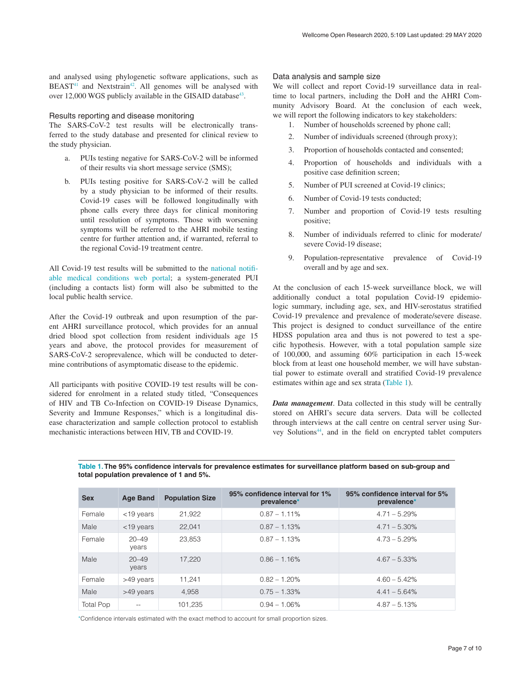and analysed using phylogenetic software applications, such as  $BEAST<sup>41</sup>$  and Nextstrain<sup>[42](#page-9-0)</sup>. All genomes will be analysed with over 12,000 WGS publicly available in the GISAID database $43$ .

#### Results reporting and disease monitoring

The SARS-CoV-2 test results will be electronically transferred to the study database and presented for clinical review to the study physician.

- a. PUIs testing negative for SARS-CoV-2 will be informed of their results via short message service (SMS);
- b. PUIs testing positive for SARS-CoV-2 will be called by a study physician to be informed of their results. Covid-19 cases will be followed longitudinally with phone calls every three days for clinical monitoring until resolution of symptoms. Those with worsening symptoms will be referred to the AHRI mobile testing centre for further attention and, if warranted, referral to the regional Covid-19 treatment centre.

All Covid-19 test results will be submitted to the [national notifi](https://mstrweb.nicd.ac.za/Microstrategy/asp/Main.aspx)[able medical conditions web portal;](https://mstrweb.nicd.ac.za/Microstrategy/asp/Main.aspx) a system-generated PUI (including a contacts list) form will also be submitted to the local public health service.

After the Covid-19 outbreak and upon resumption of the parent AHRI surveillance protocol, which provides for an annual dried blood spot collection from resident individuals age 15 years and above, the protocol provides for measurement of SARS-CoV-2 seroprevalence, which will be conducted to determine contributions of asymptomatic disease to the epidemic.

All participants with positive COVID-19 test results will be considered for enrolment in a related study titled, "Consequences of HIV and TB Co-Infection on COVID-19 Disease Dynamics, Severity and Immune Responses," which is a longitudinal disease characterization and sample collection protocol to establish mechanistic interactions between HIV, TB and COVID-19.

#### Data analysis and sample size

We will collect and report Covid-19 surveillance data in realtime to local partners, including the DoH and the AHRI Community Advisory Board. At the conclusion of each week, we will report the following indicators to key stakeholders:

- 1. Number of households screened by phone call;
- 2. Number of individuals screened (through proxy);
- 3. Proportion of households contacted and consented;
- 4. Proportion of households and individuals with a positive case definition screen;
- 5. Number of PUI screened at Covid-19 clinics;
- 6. Number of Covid-19 tests conducted;
- 7. Number and proportion of Covid-19 tests resulting positive;
- 8. Number of individuals referred to clinic for moderate/ severe Covid-19 disease;
- 9. Population-representative prevalence of Covid-19 overall and by age and sex.

At the conclusion of each 15-week surveillance block, we will additionally conduct a total population Covid-19 epidemiologic summary, including age, sex, and HIV-serostatus stratified Covid-19 prevalence and prevalence of moderate/severe disease. This project is designed to conduct surveillance of the entire HDSS population area and thus is not powered to test a specific hypothesis. However, with a total population sample size of 100,000, and assuming 60% participation in each 15-week block from at least one household member, we will have substantial power to estimate overall and stratified Covid-19 prevalence estimates within age and sex strata (Table 1).

*Data management*. Data collected in this study will be centrally stored on AHRI's secure data servers. Data will be collected through interviews at the call centre on central server using Survey Solutions[44,](#page-9-0) and in the field on encrypted tablet computers

| <b>Sex</b>       | <b>Age Band</b>    | <b>Population Size</b> | 95% confidence interval for 1%<br>prevalence* | 95% confidence interval for 5%<br>prevalence* |
|------------------|--------------------|------------------------|-----------------------------------------------|-----------------------------------------------|
| Female           | $<$ 19 years       | 21,922                 | $0.87 - 1.11\%$                               | $4.71 - 5.29%$                                |
| Male             | $<$ 19 years       | 22.041                 | $0.87 - 1.13\%$                               | $4.71 - 5.30\%$                               |
| Female           | $20 - 49$<br>years | 23,853                 | $0.87 - 1.13%$                                | $4.73 - 5.29%$                                |
| Male             | $20 - 49$<br>years | 17.220                 | $0.86 - 1.16\%$                               | $4.67 - 5.33\%$                               |
| Female           | >49 years          | 11.241                 | $0.82 - 1.20\%$                               | $4.60 - 5.42\%$                               |
| Male             | >49 years          | 4.958                  | $0.75 - 1.33%$                                | $4.41 - 5.64\%$                               |
| <b>Total Pop</b> |                    | 101,235                | $0.94 - 1.06\%$                               | $4.87 - 5.13%$                                |

**Table 1. The 95% confidence intervals for prevalence estimates for surveillance platform based on sub-group and total population prevalence of 1 and 5%.**

\*Confidence intervals estimated with the exact method to account for small proportion sizes.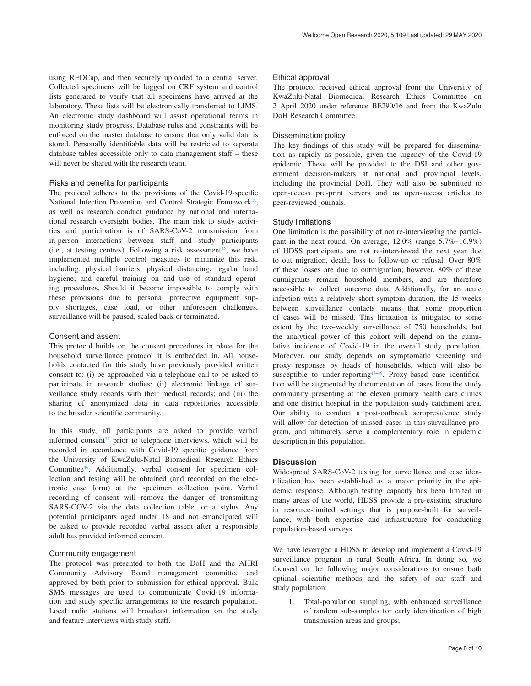using REDCap, and then securely uploaded to a central server. Collected specimens will be logged on CRF system and control lists generated to verify that all specimens have arrived at the laboratory. These lists will be electronically transferred to LIMS. An electronic study dashboard will assist operational teams in monitoring study progress. Database rules and constraints will be enforced on the master database to ensure that only valid data is stored. Personally identifiable data will be restricted to separate database tables accessible only to data management staff – these will never be shared with the research team.

#### Risks and benefits for participants

The protocol adheres to the provisions of the Covid-19-specific National Infection Prevention and Control Strategic Framework<sup>45</sup>, as well as research conduct guidance by national and international research oversight bodies. The main risk to study activities and participation is of SARS-CoV-2 transmission from in-person interactions between staff and study participants (i.e., at testing centres). Following a risk assessment<sup>35</sup>, we have implemented multiple control measures to minimize this risk, including: physical barriers; physical distancing; regular hand hygiene; and careful training on and use of standard operating procedures. Should it become impossible to comply with these provisions due to personal protective equipment supply shortages, case load, or other unforeseen challenges, surveillance will be paused, scaled back or terminated.

#### Consent and assent

This protocol builds on the consent procedures in place for the household surveillance protocol it is embedded in. All households contacted for this study have previously provided written consent to: (i) be approached via a telephone call to be asked to participate in research studies; (ii) electronic linkage of surveillance study records with their medical records; and (iii) the sharing of anonymized data in data repositories accessible to the broader scientific community.

In this study, all participants are asked to provide verbal informed consent<sup>35</sup> prior to telephone interviews, which will be recorded in accordance with Covid-19 specific guidance from the University of KwaZulu-Natal Biomedical Research Ethics Committee[46.](#page-9-0) Additionally, verbal consent for specimen collection and testing will be obtained (and recorded on the electronic case form) at the specimen collection point. Verbal recording of consent will remove the danger of transmitting SARS-COV-2 via the data collection tablet or a stylus. Any potential participants aged under 18 and not emancipated will be asked to provide recorded verbal assent after a responsible adult has provided informed consent.

#### Community engagement

The protocol was presented to both the DoH and the AHRI Community Advisory Board management committee and approved by both prior to submission for ethical approval. Bulk SMS messages are used to communicate Covid-19 information and study specific arrangements to the research population. Local radio stations will broadcast information on the study and feature interviews with study staff.

#### Ethical approval

The protocol received ethical approval from the University of KwaZulu-Natal Biomedical Research Ethics Committee on 2 April 2020 under reference BE290/16 and from the KwaZulu DoH Research Committee.

#### Dissemination policy

The key findings of this study will be prepared for dissemination as rapidly as possible, given the urgency of the Covid-19 epidemic. These will be provided to the DSI and other government decision-makers at national and provincial levels, including the provincial DoH. They will also be submitted to open-access pre-print servers and as open-access articles to peer-reviewed journals.

#### Study limitations

One limitation is the possibility of not re-interviewing the participant in the next round. On average, 12.0% (range 5.7%–16.9%) of HDSS participants are not re-interviewed the next year due to out migration, death, loss to follow-up or refusal. Over 80% of these losses are due to outmigration; however, 80% of these outmigrants remain household members, and are therefore accessible to collect outcome data. Additionally, for an acute infection with a relatively short symptom duration, the 15 weeks between surveillance contacts means that some proportion of cases will be missed. This limitation is mitigated to some extent by the two-weekly surveillance of 750 households, but the analytical power of this cohort will depend on the cumulative incidence of Covid-19 in the overall study population. Moreover, our study depends on symptomatic screening and proxy responses by heads of households, which will also be susceptible to under-reporting<sup>47-49</sup>. Proxy-based case identification will be augmented by documentation of cases from the study community presenting at the eleven primary health care clinics and one district hospital in the population study catchment area. Our ability to conduct a post-outbreak seroprevalence study will allow for detection of missed cases in this surveillance program, and ultimately serve a complementary role in epidemic description in this population.

#### **Discussion**

Widespread SARS-CoV-2 testing for surveillance and case identification has been established as a major priority in the epidemic response. Although testing capacity has been limited in many areas of the world, HDSS provide a pre-existing structure in resource-limited settings that is purpose-built for surveillance, with both expertise and infrastructure for conducting population-based surveys.

We have leveraged a HDSS to develop and implement a Covid-19 surveillance program in rural South Africa. In doing so, we focused on the following major considerations to ensure both optimal scientific methods and the safety of our staff and study population:

1. Total-population sampling, with enhanced surveillance of random sub-samples for early identification of high transmission areas and groups;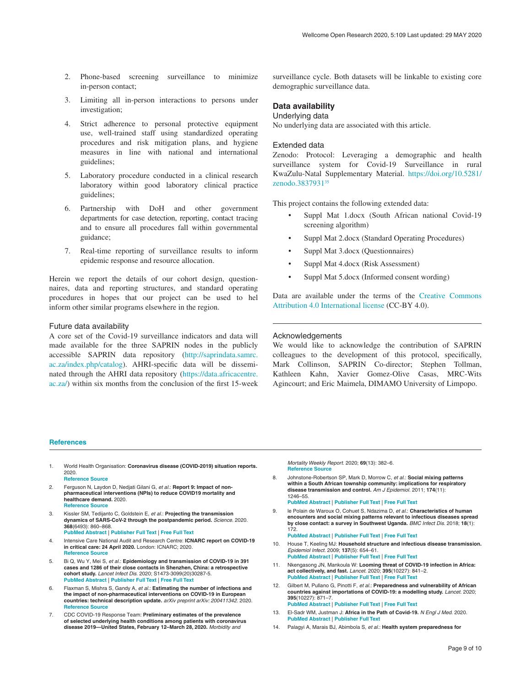- <span id="page-8-0"></span>2. Phone-based screening surveillance to minimize in-person contact;
- 3. Limiting all in-person interactions to persons under investigation;
- 4. Strict adherence to personal protective equipment use, well-trained staff using standardized operating procedures and risk mitigation plans, and hygiene measures in line with national and international guidelines;
- 5. Laboratory procedure conducted in a clinical research laboratory within good laboratory clinical practice guidelines;
- 6. Partnership with DoH and other government departments for case detection, reporting, contact tracing and to ensure all procedures fall within governmental guidance;
- 7. Real-time reporting of surveillance results to inform epidemic response and resource allocation.

Herein we report the details of our cohort design, questionnaires, data and reporting structures, and standard operating procedures in hopes that our project can be used to hel inform other similar programs elsewhere in the region.

#### Future data availability

A core set of the Covid-19 surveillance indicators and data will made available for the three SAPRIN nodes in the publicly accessible SAPRIN data repository [\(http://saprindata.samrc.](http://saprindata.samrc.ac.za/index.php/catalog) [ac.za/index.php/catalog\)](http://saprindata.samrc.ac.za/index.php/catalog). AHRI-specific data will be disseminated through the AHRI data repository ([https://data.africacentre.](https://data.africacentre.ac.za/) [ac.za/](https://data.africacentre.ac.za/)) within six months from the conclusion of the first 15-week

surveillance cycle. Both datasets will be linkable to existing core demographic surveillance data.

# **Data availability**

#### Underlying data

No underlying data are associated with this article.

#### Extended data

Zenodo: Protocol: Leveraging a demographic and health surveillance system for Covid-19 Surveillance in rural KwaZulu-Natal Supplementary Material. [https://doi.org/10.5281/](http://dx.doi.org/10.5281/zenodo.3837931) [zenodo.3837931](http://dx.doi.org/10.5281/zenodo.3837931)[35](#page-9-0)

This project contains the following extended data:

- Suppl Mat 1.docx (South African national Covid-19 screening algorithm)
- Suppl Mat 2.docx (Standard Operating Procedures)
- Suppl Mat 3.docx (Questionnaires)
- Suppl Mat 4.docx (Risk Assessment)
- Suppl Mat 5.docx (Informed consent wording)

Data are available under the terms of the [Creative Commons](https://creativecommons.org/licenses/by/4.0/legalcode) [Attribution 4.0 International license](https://creativecommons.org/licenses/by/4.0/legalcode) (CC-BY 4.0).

#### Acknowledgements

We would like to acknowledge the contribution of SAPRIN colleagues to the development of this protocol, specifically, Mark Collinson, SAPRIN Co-director; Stephen Tollman, Kathleen Kahn, Xavier Gomez-Olive Casas, MRC-Wits Agincourt; and Eric Maimela, DIMAMO University of Limpopo.

#### **References**

- 1. World Health Organisation: **Coronavirus disease (COVID-2019) situation reports.** 2020. **[Reference Source](https://www.who.int/emergencies/diseases/novel-coronavirus-2019/situation-reports)**
- 2. Ferguson N, Laydon D, Nedjati Gilani G, *et al.*: **Report 9: Impact of nonpharmaceutical interventions (NPIs) to reduce COVID19 mortality and healthcare demand.** 2020. **[Reference Source](https://www.who.int/emergencies/diseases/novel-coronavirus-2019/situation-reports)**
- 3. Kissler SM, Tedijanto C, Goldstein E, *et al.*: **Projecting the transmission dynamics of SARS-CoV-2 through the postpandemic period.** *Science.* 2020. **368**(6493): 860–868. **[PubMed Abstract](http://www.ncbi.nlm.nih.gov/pubmed/32291278)** | **[Publisher Full Text](http://dx.doi.org/10.1126/science.abb5793)** | **[Free Full Text](http://www.ncbi.nlm.nih.gov/pmc/articles/7164482)**
- 4. Intensive Care National Audit and Research Centre: **ICNARC report on COVID-19 in critical care: 24 April 2020.** London: ICNARC; 2020. **[Reference Source](https://r.search.yahoo.com/_ylt=AwrxgvkVtsheEyYAcwbnHgx.;_ylu=X3oDMTEyYmpyZWJzBGNvbG8Dc2czBHBvcwMxBHZ0aWQDQjg4NjdfMQRzZWMDc3I-/RV=2/RE=1590240918/RO=10/RU=https://www.icnarc.org/DataServices/Attachments/Download/f48efee2-d38b-ea11-9125-00505601089b/RK=2/RS=WeT31XgU35bFZaHSSLCfmqjxn6c-)**
- 5. Bi Q, Wu Y, Mei S, *et al.*: **Epidemiology and transmission of COVID-19 in 391 cases and 1286 of their close contacts in Shenzhen, China: a retrospective cohort study.** *Lancet Infect Dis.* 2020; S1473-3099(20)30287-5. **[PubMed Abstract](http://www.ncbi.nlm.nih.gov/pubmed/32353347)** | **[Publisher Full Text](http://dx.doi.org/10.1016/S1473-3099(20)30287-5)** | **[Free Full Text](http://www.ncbi.nlm.nih.gov/pmc/articles/7185944)**
- 6. Flaxman S, Mishra S, Gandy A, *et al.*: **Estimating the number of infections and the impact of non-pharmaceutical interventions on COVID-19 in European countries: technical description update.** *arXiv preprint arXiv: 200411342.* 2020. **[Reference Source](https://ui.adsabs.harvard.edu/abs/2020arXiv200411342F/abstract)**
- 7. CDC COVID-19 Response Team: **Preliminary estimates of the prevalence of selected underlying health conditions among patients with coronavirus disease 2019—United States, February 12–March 28, 2020.** *Morbidity and*

*Mortality Weekly Report.* 2020; **69**(13): 382–6. **[Reference Source](https://www.cdc.gov/mmwr/volumes/69/wr/mm6913e2.htm)**

- 8. Johnstone-Robertson SP, Mark D, Morrow C, *et al.*: **Social mixing patterns within a South African township community: implications for respiratory disease transmission and control.** *Am J Epidemiol.* 2011; **174**(11): 1246–55. **[PubMed Abstract](http://www.ncbi.nlm.nih.gov/pubmed/22071585)** | **[Publisher Full Text](http://dx.doi.org/10.1093/aje/kwr251)** | **[Free Full Text](http://www.ncbi.nlm.nih.gov/pmc/articles/3224253)**
- 9. le Polain de Waroux O, Cohuet S, Ndazima D, *et al.*: **Characteristics of human encounters and social mixing patterns relevant to infectious diseases spread by close contact: a survey in Southwest Uganda.** *BMC Infect Dis.* 2018; **18**(1): 172. **[PubMed Abstract](http://www.ncbi.nlm.nih.gov/pubmed/29642869)** | **[Publisher Full Text](http://dx.doi.org/10.1186/s12879-018-3073-1)** | **[Free Full Text](http://www.ncbi.nlm.nih.gov/pmc/articles/5896105)**
- 10. House T, Keeling MJ: **Household structure and infectious disease transmission.** *Epidemiol Infect.* 2009; **137**(5): 654–61.
- **[PubMed Abstract](http://www.ncbi.nlm.nih.gov/pubmed/18840319)** | **[Publisher Full Text](http://dx.doi.org/10.1017/S0950268808001416)** | **[Free Full Text](http://www.ncbi.nlm.nih.gov/pmc/articles/2829934)** 11. Nkengasong JN, Mankoula W: **Looming threat of COVID-19 infection in Africa: act collectively, and fast.** *Lancet.* 2020; **395**(10227): 841–2. **[PubMed Abstract](http://www.ncbi.nlm.nih.gov/pubmed/32113508)** | **[Publisher Full Text](http://dx.doi.org/10.1016/S0140-6736(20)30464-5)** | **[Free Full Text](http://www.ncbi.nlm.nih.gov/pmc/articles/7124371)**
- 12. Gilbert M, Pullano G, Pinotti F, *et al.*: **Preparedness and vulnerability of African countries against importations of COVID-19: a modelling study.** *Lancet.* 2020; **395**(10227): 871–7. **[PubMed Abstract](http://www.ncbi.nlm.nih.gov/pubmed/32087820)** | **[Publisher Full Text](http://dx.doi.org/10.1016/S0140-6736(20)30411-6)** | **[Free Full Text](http://www.ncbi.nlm.nih.gov/pmc/articles/7159277)**
- 13. El-Sadr WM, Justman J: **Africa in the Path of Covid-19.** *N Engl J Med.* 2020. **[PubMed Abstract](http://www.ncbi.nlm.nih.gov/pubmed/32302075)** | **[Publisher Full Text](http://dx.doi.org/10.1056/NEJMp2008193)**
- 14. Palagyi A, Marais BJ, Abimbola S, *et al.*: **Health system preparedness for**